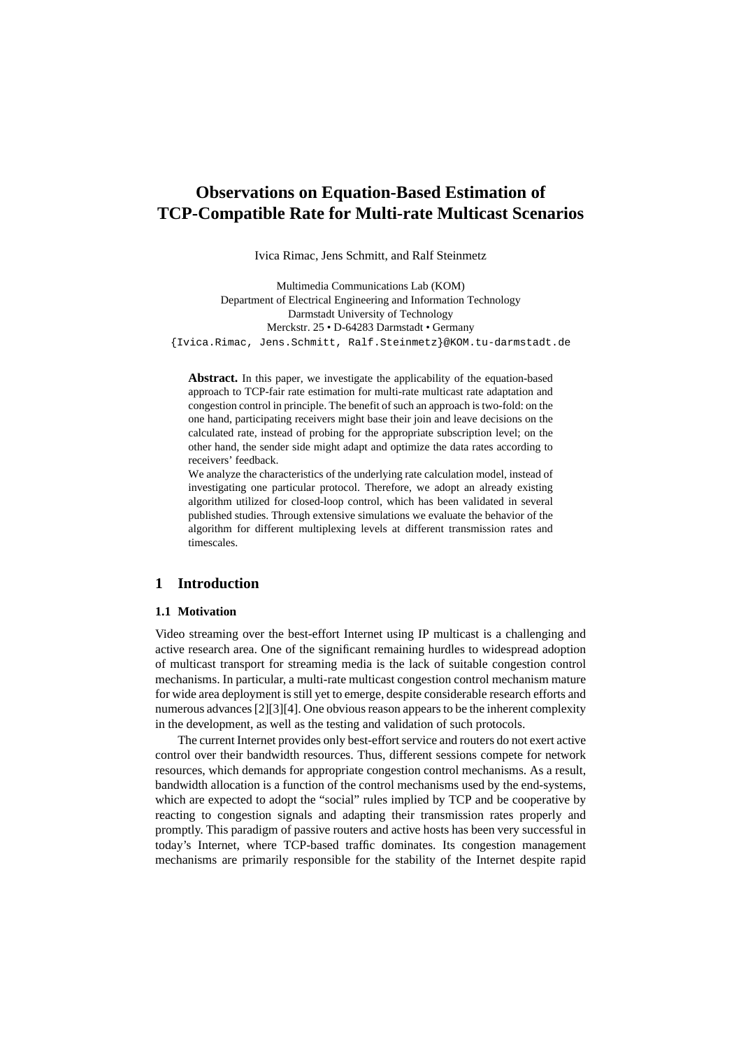# **Observations on Equation-Based Estimation of TCP-Compatible Rate for Multi-rate Multicast Scenarios**

Ivica Rimac, Jens Schmitt, and Ralf Steinmetz

Multimedia Communications Lab (KOM) Department of Electrical Engineering and Information Technology Darmstadt University of Technology Merckstr. 25 • D-64283 Darmstadt • Germany {Ivica.Rimac, Jens.Schmitt, Ralf.Steinmetz}@KOM.tu-darmstadt.de

**Abstract.** In this paper, we investigate the applicability of the equation-based approach to TCP-fair rate estimation for multi-rate multicast rate adaptation and congestion control in principle. The benefit of such an approach is two-fold: on the one hand, participating receivers might base their join and leave decisions on the calculated rate, instead of probing for the appropriate subscription level; on the other hand, the sender side might adapt and optimize the data rates according to receivers' feedback.

We analyze the characteristics of the underlying rate calculation model, instead of investigating one particular protocol. Therefore, we adopt an already existing algorithm utilized for closed-loop control, which has been validated in several published studies. Through extensive simulations we evaluate the behavior of the algorithm for different multiplexing levels at different transmission rates and timescales.

## **1 Introduction**

### **1.1 Motivation**

Video streaming over the best-effort Internet using IP multicast is a challenging and active research area. One of the significant remaining hurdles to widespread adoption of multicast transport for streaming media is the lack of suitable congestion control mechanisms. In particular, a multi-rate multicast congestion control mechanism mature for wide area deployment is still yet to emerge, despite considerable research efforts and numerous advances [2][3][4]. One obvious reason appears to be the inherent complexity in the development, as well as the testing and validation of such protocols.

The current Internet provides only best-effort service and routers do not exert active control over their bandwidth resources. Thus, different sessions compete for network resources, which demands for appropriate congestion control mechanisms. As a result, bandwidth allocation is a function of the control mechanisms used by the end-systems, which are expected to adopt the "social" rules implied by TCP and be cooperative by reacting to congestion signals and adapting their transmission rates properly and promptly. This paradigm of passive routers and active hosts has been very successful in today's Internet, where TCP-based traffic dominates. Its congestion management mechanisms are primarily responsible for the stability of the Internet despite rapid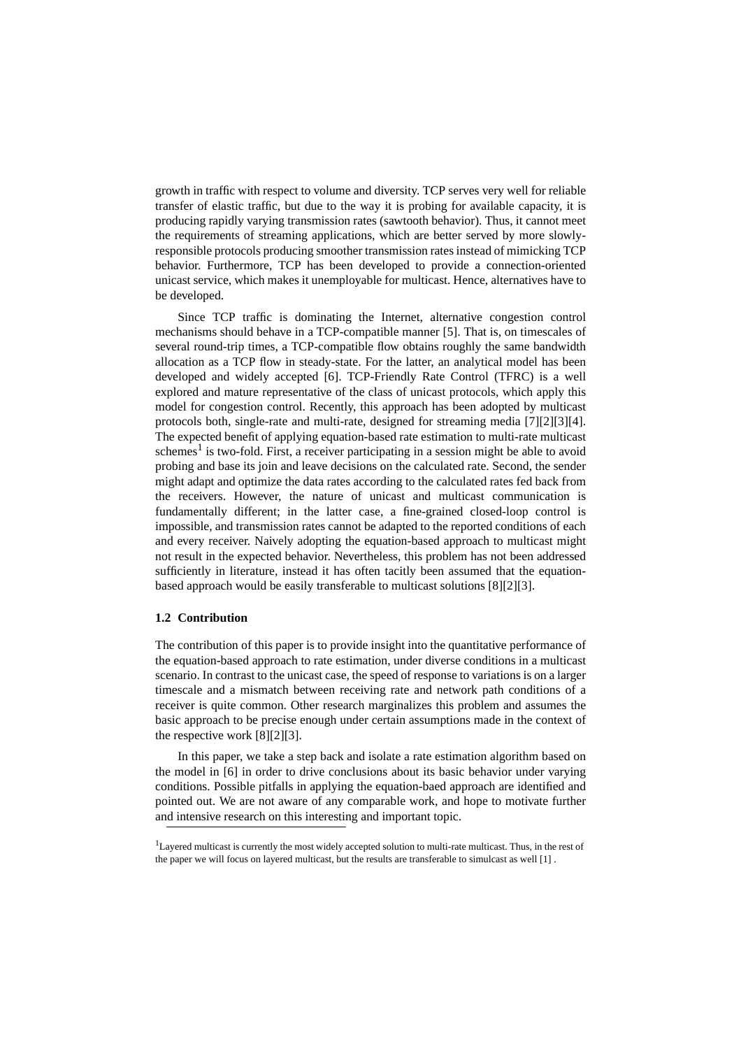growth in traffic with respect to volume and diversity. TCP serves very well for reliable transfer of elastic traffic, but due to the way it is probing for available capacity, it is producing rapidly varying transmission rates (sawtooth behavior). Thus, it cannot meet the requirements of streaming applications, which are better served by more slowlyresponsible protocols producing smoother transmission rates instead of mimicking TCP behavior. Furthermore, TCP has been developed to provide a connection-oriented unicast service, which makes it unemployable for multicast. Hence, alternatives have to be developed.

Since TCP traffic is dominating the Internet, alternative congestion control mechanisms should behave in a TCP-compatible manner [5]. That is, on timescales of several round-trip times, a TCP-compatible flow obtains roughly the same bandwidth allocation as a TCP flow in steady-state. For the latter, an analytical model has been developed and widely accepted [6]. TCP-Friendly Rate Control (TFRC) is a well explored and mature representative of the class of unicast protocols, which apply this model for congestion control. Recently, this approach has been adopted by multicast protocols both, single-rate and multi-rate, designed for streaming media [7][2][3][4]. The expected benefit of applying equation-based rate estimation to multi-rate multicast schemes<sup>1</sup> is two-fold. First, a receiver participating in a session might be able to avoid probing and base its join and leave decisions on the calculated rate. Second, the sender might adapt and optimize the data rates according to the calculated rates fed back from the receivers. However, the nature of unicast and multicast communication is fundamentally different; in the latter case, a fine-grained closed-loop control is impossible, and transmission rates cannot be adapted to the reported conditions of each and every receiver. Naively adopting the equation-based approach to multicast might not result in the expected behavior. Nevertheless, this problem has not been addressed sufficiently in literature, instead it has often tacitly been assumed that the equationbased approach would be easily transferable to multicast solutions [8][2][3].

## **1.2 Contribution**

The contribution of this paper is to provide insight into the quantitative performance of the equation-based approach to rate estimation, under diverse conditions in a multicast scenario. In contrast to the unicast case, the speed of response to variations is on a larger timescale and a mismatch between receiving rate and network path conditions of a receiver is quite common. Other research marginalizes this problem and assumes the basic approach to be precise enough under certain assumptions made in the context of the respective work [8][2][3].

In this paper, we take a step back and isolate a rate estimation algorithm based on the model in [6] in order to drive conclusions about its basic behavior under varying conditions. Possible pitfalls in applying the equation-baed approach are identified and pointed out. We are not aware of any comparable work, and hope to motivate further and intensive research on this interesting and important topic.

<sup>&</sup>lt;sup>1</sup>Layered multicast is currently the most widely accepted solution to multi-rate multicast. Thus, in the rest of the paper we will focus on layered multicast, but the results are transferable to simulcast as well [1] .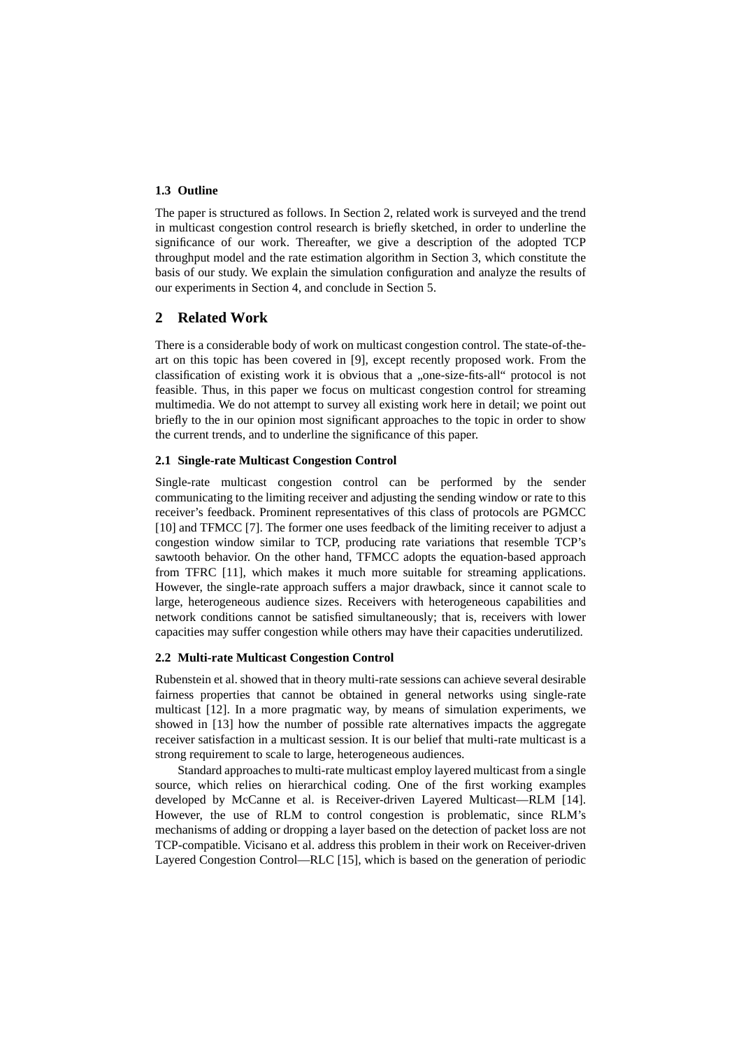# **1.3 Outline**

The paper is structured as follows. In Section 2, related work is surveyed and the trend in multicast congestion control research is briefly sketched, in order to underline the significance of our work. Thereafter, we give a description of the adopted TCP throughput model and the rate estimation algorithm in [Section 3,](#page-4-0) which constitute the basis of our study. We explain the simulation configuration and analyze the results of our experiments in [Section 4, a](#page-6-0)nd conclude in S[ection 5.](#page-10-0)

# **2 Related Work**

There is a considerable body of work on multicast congestion control. The state-of-theart on this topic has been covered in [9], except recently proposed work. From the classification of existing work it is obvious that a "one-size-fits-all" protocol is not feasible. Thus, in this paper we focus on multicast congestion control for streaming multimedia. We do not attempt to survey all existing work here in detail; we point out briefly to the in our opinion most significant approaches to the topic in order to show the current trends, and to underline the significance of this paper.

## **2.1 Single-rate Multicast Congestion Control**

Single-rate multicast congestion control can be performed by the sender communicating to the limiting receiver and adjusting the sending window or rate to this receiver's feedback. Prominent representatives of this class of protocols are PGMCC [10] and TFMCC [7]. The former one uses feedback of the limiting receiver to adjust a congestion window similar to TCP, producing rate variations that resemble TCP's sawtooth behavior. On the other hand, TFMCC adopts the equation-based approach from TFRC [11], which makes it much more suitable for streaming applications. However, the single-rate approach suffers a major drawback, since it cannot scale to large, heterogeneous audience sizes. Receivers with heterogeneous capabilities and network conditions cannot be satisfied simultaneously; that is, receivers with lower capacities may suffer congestion while others may have their capacities underutilized.

#### **2.2 Multi-rate Multicast Congestion Control**

Rubenstein et al. showed that in theory multi-rate sessions can achieve several desirable fairness properties that cannot be obtained in general networks using single-rate multicast [12]. In a more pragmatic way, by means of simulation experiments, we showed in [13] how the number of possible rate alternatives impacts the aggregate receiver satisfaction in a multicast session. It is our belief that multi-rate multicast is a strong requirement to scale to large, heterogeneous audiences.

Standard approaches to multi-rate multicast employ layered multicast from a single source, which relies on hierarchical coding. One of the first working examples developed by McCanne et al. is Receiver-driven Layered Multicast—RLM [14]. However, the use of RLM to control congestion is problematic, since RLM's mechanisms of adding or dropping a layer based on the detection of packet loss are not TCP-compatible. Vicisano et al. address this problem in their work on Receiver-driven Layered Congestion Control—RLC [15], which is based on the generation of periodic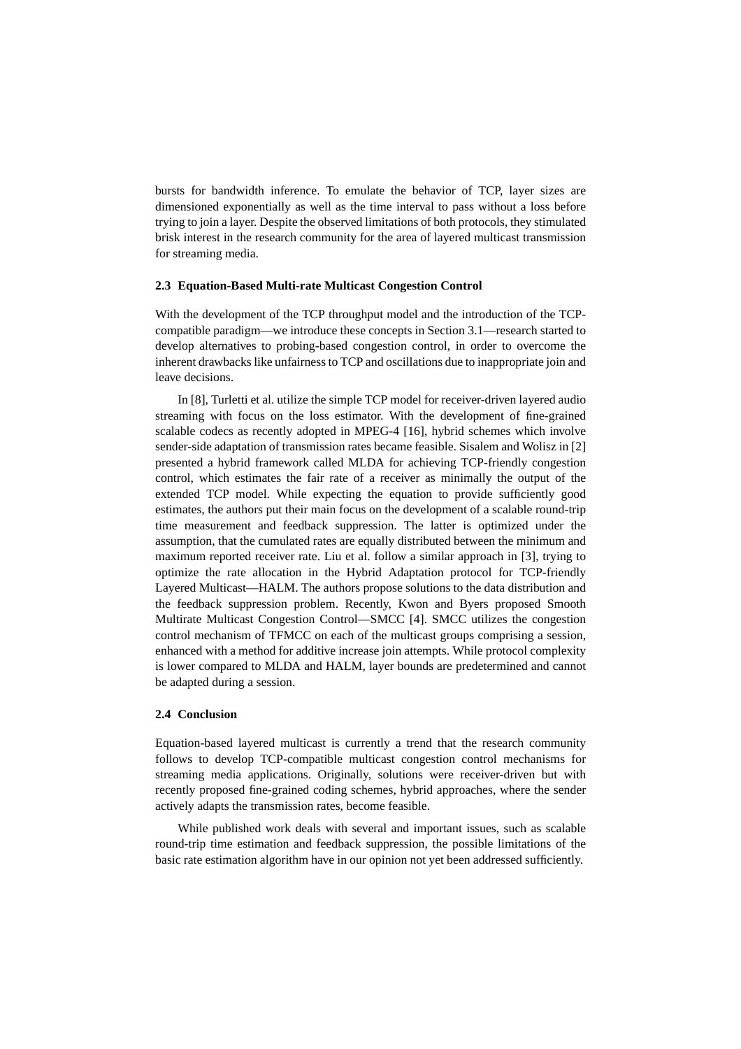bursts for bandwidth inference. To emulate the behavior of TCP, layer sizes are dimensioned exponentially as well as the time interval to pass without a loss before trying to join a layer. Despite the observed limitations of both protocols, they stimulated brisk interest in the research community for the area of layered multicast transmission for streaming media.

## **2.3 Equation-Based Multi-rate Multicast Congestion Control**

With the development of the TCP throughput model and the introduction of the TCPcompatible paradigm—we introduce these concepts in [Section 3.1](#page-4-0)—research started to develop alternatives to probing-based congestion control, in order to overcome the inherent drawbacks like unfairness to TCP and oscillations due to inappropriate join and leave decisions.

In [8], Turletti et al. utilize the simple TCP model for receiver-driven layered audio streaming with focus on the loss estimator. With the development of fine-grained scalable codecs as recently adopted in MPEG-4 [16], hybrid schemes which involve sender-side adaptation of transmission rates became feasible. Sisalem and Wolisz in [2] presented a hybrid framework called MLDA for achieving TCP-friendly congestion control, which estimates the fair rate of a receiver as minimally the output of the extended TCP model. While expecting the equation to provide sufficiently good estimates, the authors put their main focus on the development of a scalable round-trip time measurement and feedback suppression. The latter is optimized under the assumption, that the cumulated rates are equally distributed between the minimum and maximum reported receiver rate. Liu et al. follow a similar approach in [3], trying to optimize the rate allocation in the Hybrid Adaptation protocol for TCP-friendly Layered Multicast—HALM. The authors propose solutions to the data distribution and the feedback suppression problem. Recently, Kwon and Byers proposed Smooth Multirate Multicast Congestion Control—SMCC [4]. SMCC utilizes the congestion control mechanism of TFMCC on each of the multicast groups comprising a session, enhanced with a method for additive increase join attempts. While protocol complexity is lower compared to MLDA and HALM, layer bounds are predetermined and cannot be adapted during a session.

#### **2.4 Conclusion**

Equation-based layered multicast is currently a trend that the research community follows to develop TCP-compatible multicast congestion control mechanisms for streaming media applications. Originally, solutions were receiver-driven but with recently proposed fine-grained coding schemes, hybrid approaches, where the sender actively adapts the transmission rates, become feasible.

While published work deals with several and important issues, such as scalable round-trip time estimation and feedback suppression, the possible limitations of the basic rate estimation algorithm have in our opinion not yet been addressed sufficiently.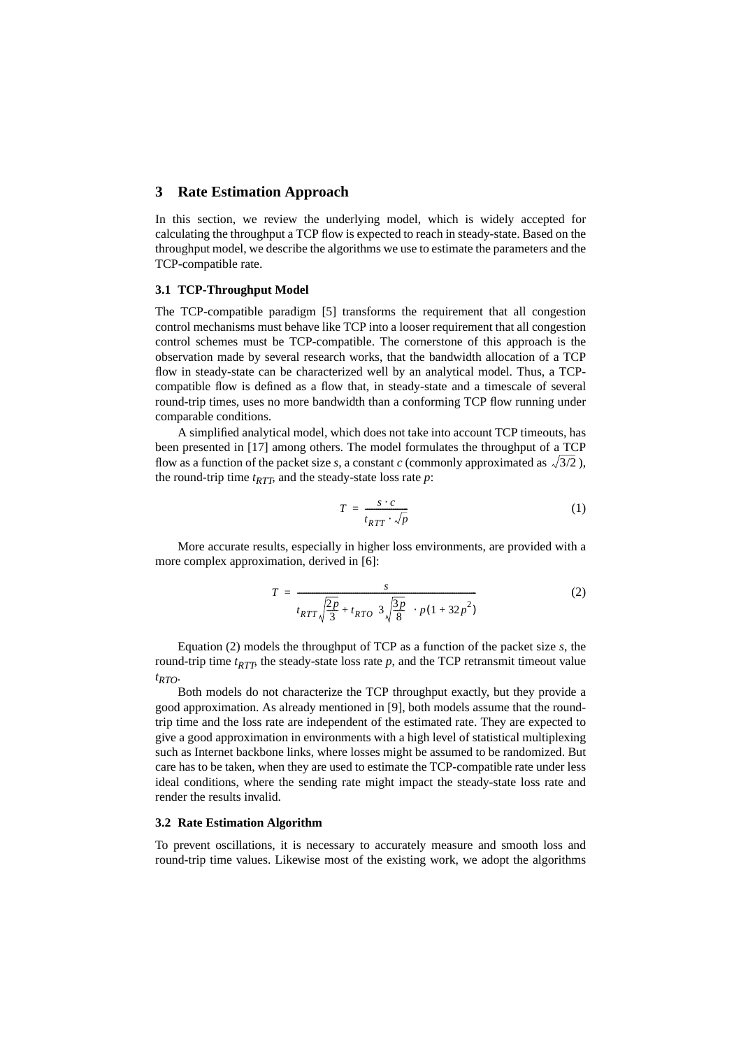## <span id="page-4-0"></span>**3 Rate Estimation Approach**

In this section, we review the underlying model, which is widely accepted for calculating the throughput a TCP flow is expected to reach in steady-state. Based on the throughput model, we describe the algorithms we use to estimate the parameters and the TCP-compatible rate.

#### **3.1 TCP-Throughput Model**

The TCP-compatible paradigm [5] transforms the requirement that all congestion control mechanisms must behave like TCP into a looser requirement that all congestion control schemes must be TCP-compatible. The cornerstone of this approach is the observation made by several research works, that the bandwidth allocation of a TCP flow in steady-state can be characterized well by an analytical model. Thus, a TCPcompatible flow is defined as a flow that, in steady-state and a timescale of several round-trip times, uses no more bandwidth than a conforming TCP flow running under comparable conditions.

A simplified analytical model, which does not take into account TCP timeouts, has been presented in [17] among others. The model formulates the throughput of a TCP flow as a function of the packet size *s*, a constant *c* (commonly approximated as  $\sqrt{3}/2$ ), the round-trip time  $t_{RTT}$ , and the steady-state loss rate  $p$ :

$$
T = \frac{s \cdot c}{t_{RTT} \cdot \sqrt{p}}\tag{1}
$$

More accurate results, especially in higher loss environments, are provided with a more complex approximation, derived in [6]:

$$
T = \frac{s}{t_{RTT} \sqrt{\frac{2p}{3} + t_{RTO}\left(3\sqrt{\frac{3p}{8}}\right) \cdot p(1 + 32p^2)}}
$$
(2)

Equation (2) models the throughput of TCP as a function of the packet size *s*, the round-trip time  $t_{RTT}$ , the steady-state loss rate  $p$ , and the TCP retransmit timeout value *tRTO*.

Both models do not characterize the TCP throughput exactly, but they provide a good approximation. As already mentioned in [9], both models assume that the roundtrip time and the loss rate are independent of the estimated rate. They are expected to give a good approximation in environments with a high level of statistical multiplexing such as Internet backbone links, where losses might be assumed to be randomized. But care has to be taken, when they are used to estimate the TCP-compatible rate under less ideal conditions, where the sending rate might impact the steady-state loss rate and render the results invalid.

#### **3.2 Rate Estimation Algorithm**

To prevent oscillations, it is necessary to accurately measure and smooth loss and round-trip time values. Likewise most of the existing work, we adopt the algorithms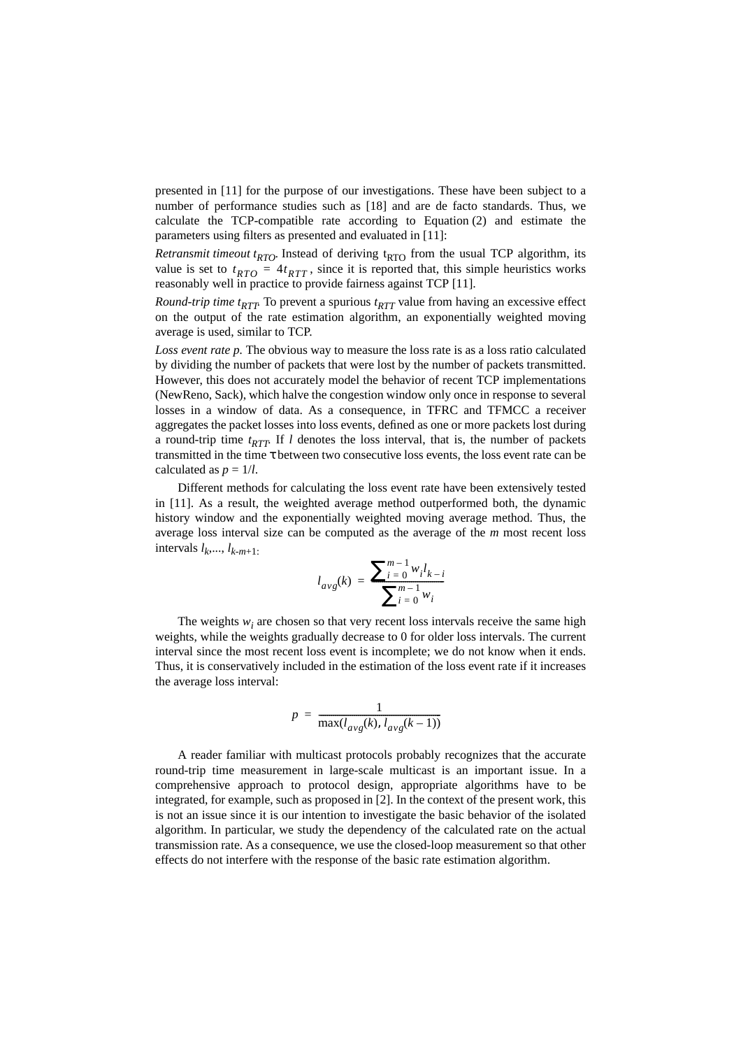presented in [11] for the purpose of our investigations. These have been subject to a number of performance studies such as [18] and are de facto standards. Thus, we calculate the TCP-compatible rate according to [Equation \(2\)](#page-4-0) and estimate the parameters using filters as presented and evaluated in [11]:

*Retransmit timeout t<sub>RTO</sub>*. Instead of deriving t<sub>RTO</sub> from the usual TCP algorithm, its value is set to  $t_{RTO} = 4t_{RTT}$ , since it is reported that, this simple heuristics works reasonably well in practice to provide fairness against TCP [11].

*Round-trip time*  $t_{RTT}$ *.* To prevent a spurious  $t_{RTT}$  value from having an excessive effect on the output of the rate estimation algorithm, an exponentially weighted moving average is used, similar to TCP.

*Loss event rate p.* The obvious way to measure the loss rate is as a loss ratio calculated by dividing the number of packets that were lost by the number of packets transmitted. However, this does not accurately model the behavior of recent TCP implementations (NewReno, Sack), which halve the congestion window only once in response to several losses in a window of data. As a consequence, in TFRC and TFMCC a receiver aggregates the packet losses into loss events, defined as one or more packets lost during a round-trip time  $t_{RTT}$ . If *l* denotes the loss interval, that is, the number of packets transmitted in the time τ between two consecutive loss events, the loss event rate can be calculated as  $p = 1/l$ .

Different methods for calculating the loss event rate have been extensively tested in [11]. As a result, the weighted average method outperformed both, the dynamic history window and the exponentially weighted moving average method. Thus, the average loss interval size can be computed as the average of the *m* most recent loss intervals  $l_k$ ,...,  $l_{k-m+1}$ .

$$
l_{avg}(k) = \frac{\sum_{i=0}^{m-1} w_i l_{k-i}}{\sum_{i=0}^{m-1} w_i}
$$

The weights  $w_i$  are chosen so that very recent loss intervals receive the same high weights, while the weights gradually decrease to 0 for older loss intervals. The current interval since the most recent loss event is incomplete; we do not know when it ends. Thus, it is conservatively included in the estimation of the loss event rate if it increases the average loss interval:

$$
p = \frac{1}{\max(l_{avg}(k), l_{avg}(k-1))}
$$

A reader familiar with multicast protocols probably recognizes that the accurate round-trip time measurement in large-scale multicast is an important issue. In a comprehensive approach to protocol design, appropriate algorithms have to be integrated, for example, such as proposed in [2]. In the context of the present work, this is not an issue since it is our intention to investigate the basic behavior of the isolated algorithm. In particular, we study the dependency of the calculated rate on the actual transmission rate. As a consequence, we use the closed-loop measurement so that other effects do not interfere with the response of the basic rate estimation algorithm.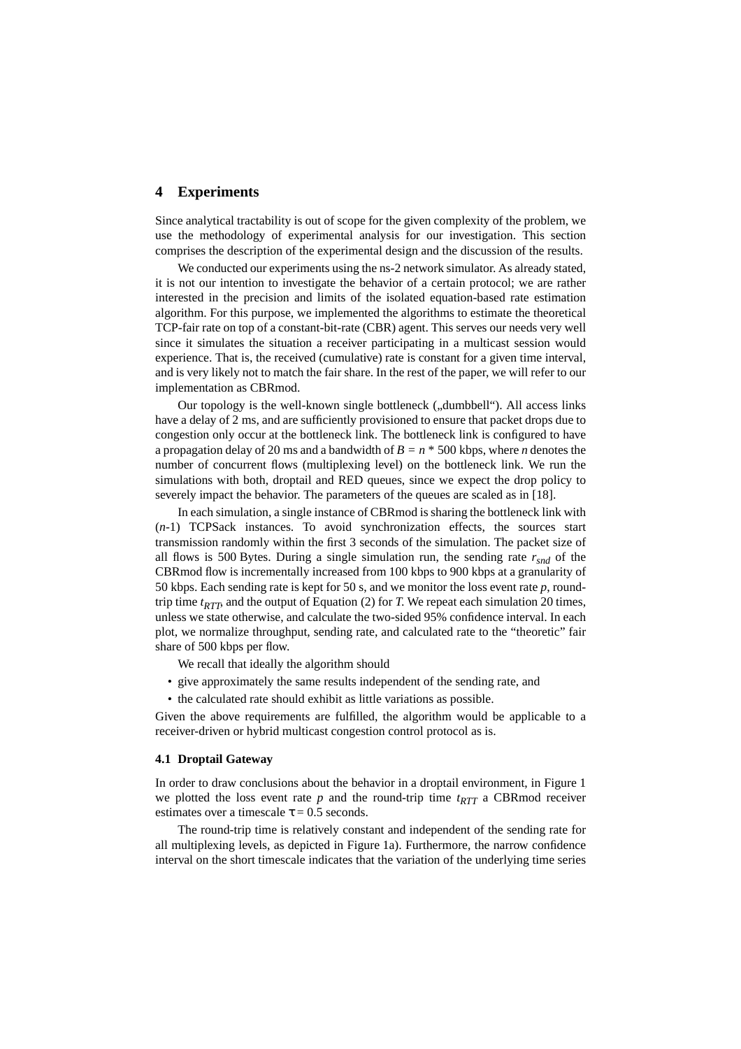## <span id="page-6-0"></span>**4 Experiments**

Since analytical tractability is out of scope for the given complexity of the problem, we use the methodology of experimental analysis for our investigation. This section comprises the description of the experimental design and the discussion of the results.

We conducted our experiments using the ns-2 network simulator. As already stated, it is not our intention to investigate the behavior of a certain protocol; we are rather interested in the precision and limits of the isolated equation-based rate estimation algorithm. For this purpose, we implemented the algorithms to estimate the theoretical TCP-fair rate on top of a constant-bit-rate (CBR) agent. This serves our needs very well since it simulates the situation a receiver participating in a multicast session would experience. That is, the received (cumulative) rate is constant for a given time interval, and is very likely not to match the fair share. In the rest of the paper, we will refer to our implementation as CBRmod.

Our topology is the well-known single bottleneck (,,dumbbell"). All access links have a delay of 2 ms, and are sufficiently provisioned to ensure that packet drops due to congestion only occur at the bottleneck link. The bottleneck link is configured to have a propagation delay of 20 ms and a bandwidth of *B=n* \* 500 kbps, where *n* denotes the number of concurrent flows (multiplexing level) on the bottleneck link. We run the simulations with both, droptail and RED queues, since we expect the drop policy to severely impact the behavior. The parameters of the queues are scaled as in [18].

In each simulation, a single instance of CBRmod is sharing the bottleneck link with (*n*-1) TCPSack instances. To avoid synchronization effects, the sources start transmission randomly within the first 3 seconds of the simulation. The packet size of all flows is 500 Bytes. During a single simulation run, the sending rate  $r_{\text{snd}}$  of the CBRmod flow is incrementally increased from 100 kbps to 900 kbps at a granularity of 50 kbps. Each sending rate is kept for 50 s, and we monitor the loss event rate *p*, roundtrip time  $t_{RTT}$ , and the output of [Equation \(2\)](#page-4-0) for *T*. We repeat each simulation 20 times, unless we state otherwise, and calculate the two-sided 95% confidence interval. In each plot, we normalize throughput, sending rate, and calculated rate to the "theoretic" fair share of 500 kbps per flow.

We recall that ideally the algorithm should

- give approximately the same results independent of the sending rate, and
- the calculated rate should exhibit as little variations as possible.

Given the above requirements are fulfilled, the algorithm would be applicable to a receiver-driven or hybrid multicast congestion control protocol as is.

## **4.1 Droptail Gateway**

In order to draw conclusions about the behavior in a droptail environment, in [Figure 1](#page-7-0) we plotted the loss event rate  $p$  and the round-trip time  $t_{RTT}$  a CBR mod receiver estimates over a timescale  $\tau = 0.5$  seconds.

The round-trip time is relatively constant and independent of the sending rate for all multiplexing levels, as depicted in [Figure 1a](#page-7-0)). Furthermore, the narrow confidence interval on the short timescale indicates that the variation of the underlying time series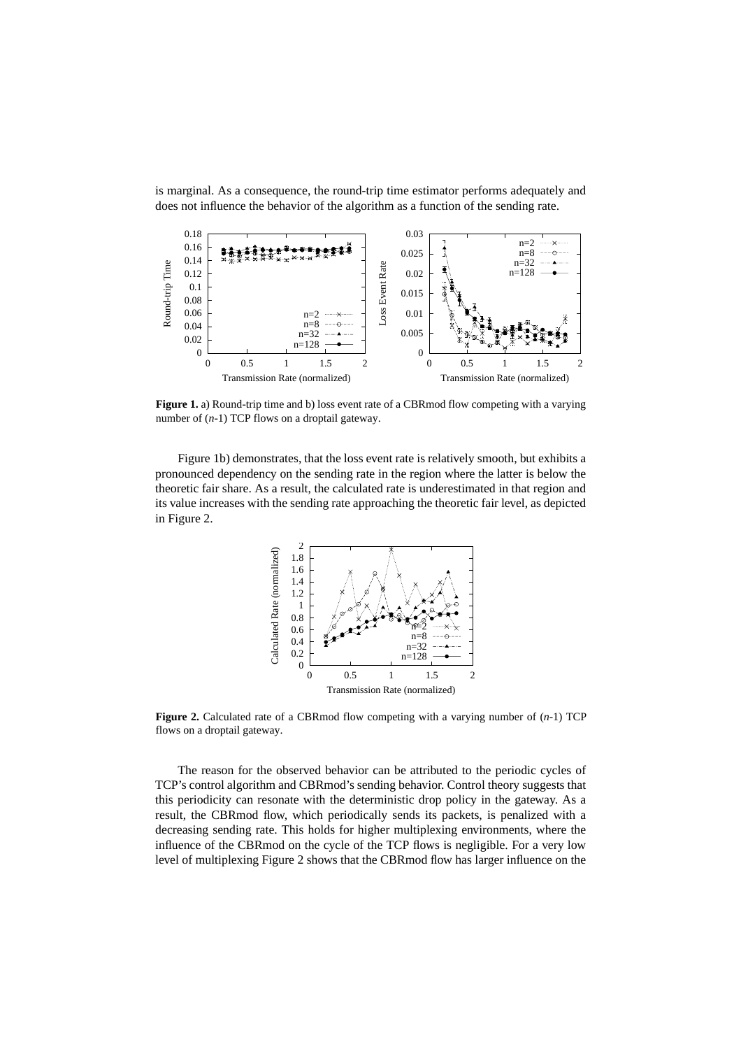<span id="page-7-0"></span>is marginal. As a consequence, the round-trip time estimator performs adequately and does not influence the behavior of the algorithm as a function of the sending rate.



**Figure 1.** a) Round-trip time and b) loss event rate of a CBRmod flow competing with a varying number of (*n*-1) TCP flows on a droptail gateway.

Figure 1b) demonstrates, that the loss event rate is relatively smooth, but exhibits a pronounced dependency on the sending rate in the region where the latter is below the theoretic fair share. As a result, the calculated rate is underestimated in that region and its value increases with the sending rate approaching the theoretic fair level, as depicted in Figure 2.



**Figure 2.** Calculated rate of a CBRmod flow competing with a varying number of (*n*-1) TCP flows on a droptail gateway.

The reason for the observed behavior can be attributed to the periodic cycles of TCP's control algorithm and CBRmod's sending behavior. Control theory suggests that this periodicity can resonate with the deterministic drop policy in the gateway. As a result, the CBRmod flow, which periodically sends its packets, is penalized with a decreasing sending rate. This holds for higher multiplexing environments, where the influence of the CBRmod on the cycle of the TCP flows is negligible. For a very low level of multiplexing Figure 2 shows that the CBRmod flow has larger influence on the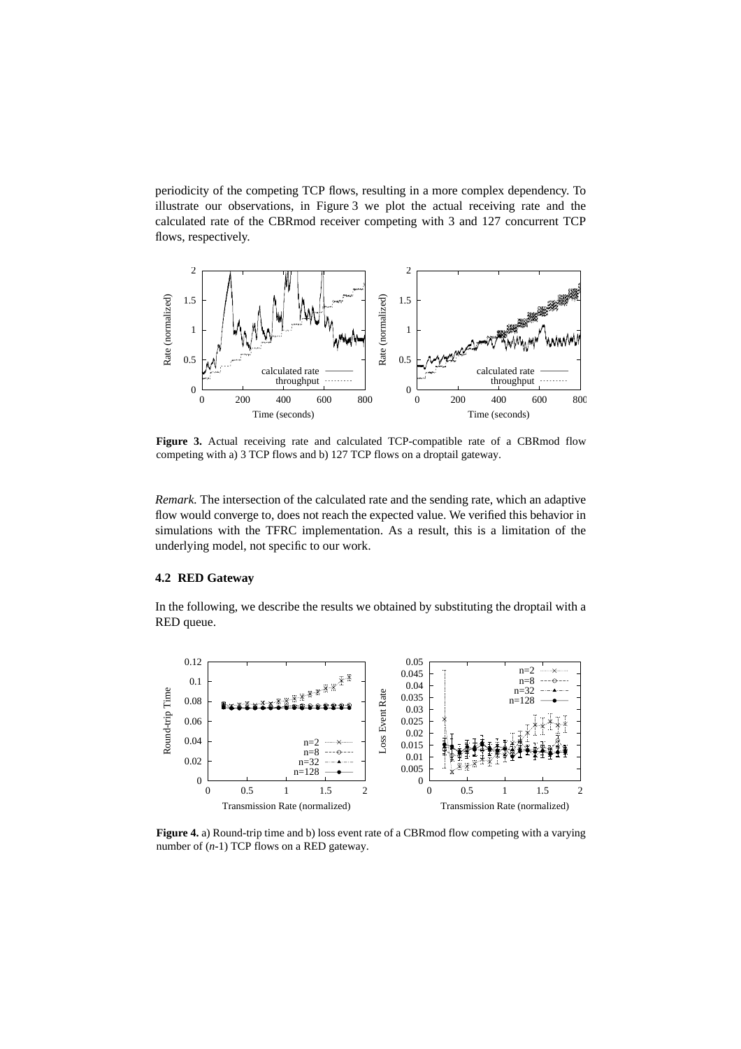<span id="page-8-0"></span>periodicity of the competing TCP flows, resulting in a more complex dependency. To illustrate our observations, in Figure 3 we plot the actual receiving rate and the calculated rate of the CBRmod receiver competing with 3 and 127 concurrent TCP flows, respectively.



**Figure 3.** Actual receiving rate and calculated TCP-compatible rate of a CBRmod flow competing with a) 3 TCP flows and b) 127 TCP flows on a droptail gateway.

*Remark.* The intersection of the calculated rate and the sending rate, which an adaptive flow would converge to, does not reach the expected value. We verified this behavior in simulations with the TFRC implementation. As a result, this is a limitation of the underlying model, not specific to our work.

## **4.2 RED Gateway**

In the following, we describe the results we obtained by substituting the droptail with a RED queue.



**Figure 4.** a) Round-trip time and b) loss event rate of a CBRmod flow competing with a varying number of (*n*-1) TCP flows on a RED gateway.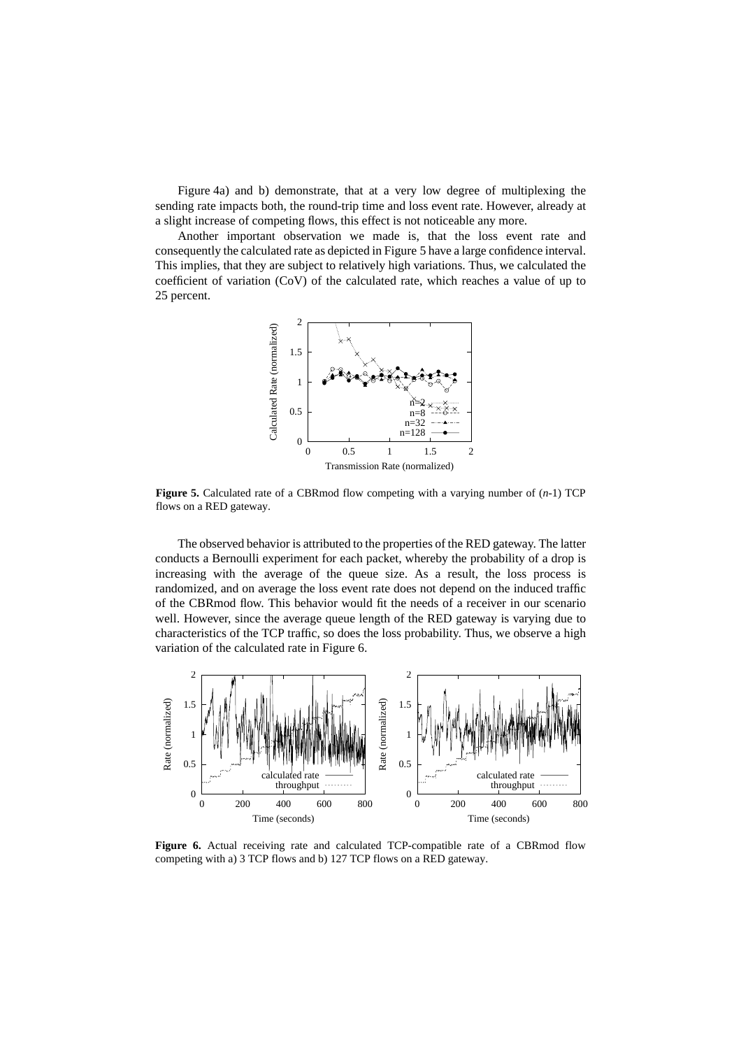[Figure 4a](#page-8-0)) and b) demonstrate, that at a very low degree of multiplexing the sending rate impacts both, the round-trip time and loss event rate. However, already at a slight increase of competing flows, this effect is not noticeable any more.

Another important observation we made is, that the loss event rate and consequently the calculated rate as depicted in Figure 5 have a large confidence interval. This implies, that they are subject to relatively high variations. Thus, we calculated the coefficient of variation (CoV) of the calculated rate, which reaches a value of up to 25 percent.



**Figure 5.** Calculated rate of a CBRmod flow competing with a varying number of (*n*-1) TCP flows on a RED gateway.

The observed behavior is attributed to the properties of the RED gateway. The latter conducts a Bernoulli experiment for each packet, whereby the probability of a drop is increasing with the average of the queue size. As a result, the loss process is randomized, and on average the loss event rate does not depend on the induced traffic of the CBRmod flow. This behavior would fit the needs of a receiver in our scenario well. However, since the average queue length of the RED gateway is varying due to characteristics of the TCP traffic, so does the loss probability. Thus, we observe a high variation of the calculated rate in Figure 6.



**Figure 6.** Actual receiving rate and calculated TCP-compatible rate of a CBRmod flow competing with a) 3 TCP flows and b) 127 TCP flows on a RED gateway.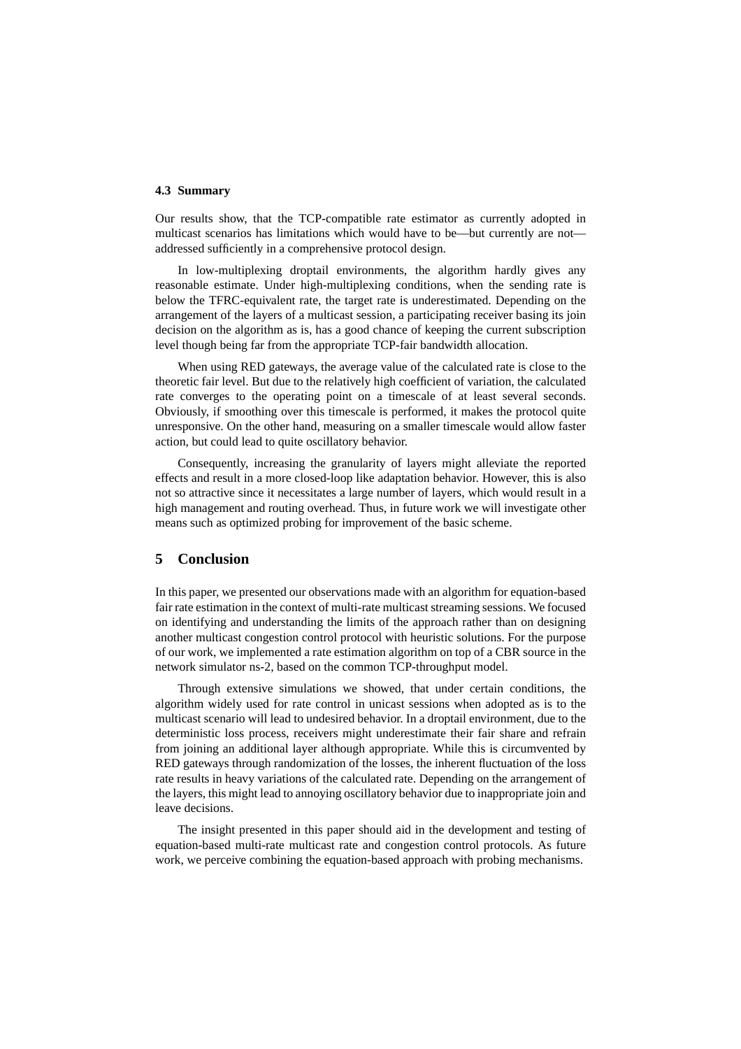#### <span id="page-10-0"></span>**4.3 Summary**

Our results show, that the TCP-compatible rate estimator as currently adopted in multicast scenarios has limitations which would have to be—but currently are not addressed sufficiently in a comprehensive protocol design.

In low-multiplexing droptail environments, the algorithm hardly gives any reasonable estimate. Under high-multiplexing conditions, when the sending rate is below the TFRC-equivalent rate, the target rate is underestimated. Depending on the arrangement of the layers of a multicast session, a participating receiver basing its join decision on the algorithm as is, has a good chance of keeping the current subscription level though being far from the appropriate TCP-fair bandwidth allocation.

When using RED gateways, the average value of the calculated rate is close to the theoretic fair level. But due to the relatively high coefficient of variation, the calculated rate converges to the operating point on a timescale of at least several seconds. Obviously, if smoothing over this timescale is performed, it makes the protocol quite unresponsive. On the other hand, measuring on a smaller timescale would allow faster action, but could lead to quite oscillatory behavior.

Consequently, increasing the granularity of layers might alleviate the reported effects and result in a more closed-loop like adaptation behavior. However, this is also not so attractive since it necessitates a large number of layers, which would result in a high management and routing overhead. Thus, in future work we will investigate other means such as optimized probing for improvement of the basic scheme.

# **5 Conclusion**

In this paper, we presented our observations made with an algorithm for equation-based fair rate estimation in the context of multi-rate multicast streaming sessions. We focused on identifying and understanding the limits of the approach rather than on designing another multicast congestion control protocol with heuristic solutions. For the purpose of our work, we implemented a rate estimation algorithm on top of a CBR source in the network simulator ns-2, based on the common TCP-throughput model.

Through extensive simulations we showed, that under certain conditions, the algorithm widely used for rate control in unicast sessions when adopted as is to the multicast scenario will lead to undesired behavior. In a droptail environment, due to the deterministic loss process, receivers might underestimate their fair share and refrain from joining an additional layer although appropriate. While this is circumvented by RED gateways through randomization of the losses, the inherent fluctuation of the loss rate results in heavy variations of the calculated rate. Depending on the arrangement of the layers, this might lead to annoying oscillatory behavior due to inappropriate join and leave decisions.

The insight presented in this paper should aid in the development and testing of equation-based multi-rate multicast rate and congestion control protocols. As future work, we perceive combining the equation-based approach with probing mechanisms.